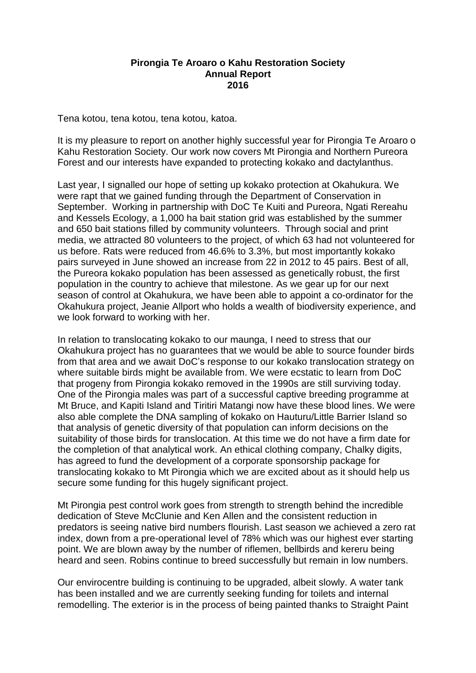## **Pirongia Te Aroaro o Kahu Restoration Society Annual Report 2016**

Tena kotou, tena kotou, tena kotou, katoa.

It is my pleasure to report on another highly successful year for Pirongia Te Aroaro o Kahu Restoration Society. Our work now covers Mt Pirongia and Northern Pureora Forest and our interests have expanded to protecting kokako and dactylanthus.

Last year, I signalled our hope of setting up kokako protection at Okahukura. We were rapt that we gained funding through the Department of Conservation in September. Working in partnership with DoC Te Kuiti and Pureora, Ngati Rereahu and Kessels Ecology, a 1,000 ha bait station grid was established by the summer and 650 bait stations filled by community volunteers. Through social and print media, we attracted 80 volunteers to the project, of which 63 had not volunteered for us before. Rats were reduced from 46.6% to 3.3%, but most importantly kokako pairs surveyed in June showed an increase from 22 in 2012 to 45 pairs. Best of all, the Pureora kokako population has been assessed as genetically robust, the first population in the country to achieve that milestone. As we gear up for our next season of control at Okahukura, we have been able to appoint a co-ordinator for the Okahukura project, Jeanie Allport who holds a wealth of biodiversity experience, and we look forward to working with her.

In relation to translocating kokako to our maunga, I need to stress that our Okahukura project has no guarantees that we would be able to source founder birds from that area and we await DoC's response to our kokako translocation strategy on where suitable birds might be available from. We were ecstatic to learn from DoC that progeny from Pirongia kokako removed in the 1990s are still surviving today. One of the Pirongia males was part of a successful captive breeding programme at Mt Bruce, and Kapiti Island and Tiritiri Matangi now have these blood lines. We were also able complete the DNA sampling of kokako on Hauturu/Little Barrier Island so that analysis of genetic diversity of that population can inform decisions on the suitability of those birds for translocation. At this time we do not have a firm date for the completion of that analytical work. An ethical clothing company, Chalky digits, has agreed to fund the development of a corporate sponsorship package for translocating kokako to Mt Pirongia which we are excited about as it should help us secure some funding for this hugely significant project.

Mt Pirongia pest control work goes from strength to strength behind the incredible dedication of Steve McClunie and Ken Allen and the consistent reduction in predators is seeing native bird numbers flourish. Last season we achieved a zero rat index, down from a pre-operational level of 78% which was our highest ever starting point. We are blown away by the number of riflemen, bellbirds and kereru being heard and seen. Robins continue to breed successfully but remain in low numbers.

Our envirocentre building is continuing to be upgraded, albeit slowly. A water tank has been installed and we are currently seeking funding for toilets and internal remodelling. The exterior is in the process of being painted thanks to Straight Paint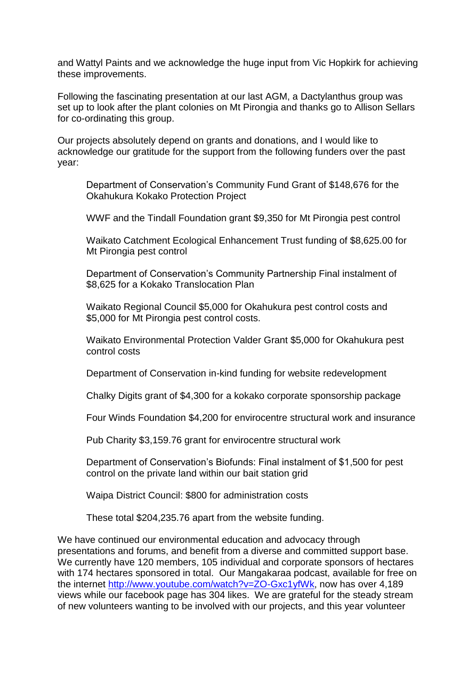and Wattyl Paints and we acknowledge the huge input from Vic Hopkirk for achieving these improvements.

Following the fascinating presentation at our last AGM, a Dactylanthus group was set up to look after the plant colonies on Mt Pirongia and thanks go to Allison Sellars for co-ordinating this group.

Our projects absolutely depend on grants and donations, and I would like to acknowledge our gratitude for the support from the following funders over the past year:

Department of Conservation's Community Fund Grant of \$148,676 for the Okahukura Kokako Protection Project

WWF and the Tindall Foundation grant \$9,350 for Mt Pirongia pest control

Waikato Catchment Ecological Enhancement Trust funding of \$8,625.00 for Mt Pirongia pest control

Department of Conservation's Community Partnership Final instalment of \$8,625 for a Kokako Translocation Plan

Waikato Regional Council \$5,000 for Okahukura pest control costs and \$5,000 for Mt Pirongia pest control costs.

Waikato Environmental Protection Valder Grant \$5,000 for Okahukura pest control costs

Department of Conservation in-kind funding for website redevelopment

Chalky Digits grant of \$4,300 for a kokako corporate sponsorship package

Four Winds Foundation \$4,200 for envirocentre structural work and insurance

Pub Charity \$3,159.76 grant for envirocentre structural work

Department of Conservation's Biofunds: Final instalment of \$1,500 for pest control on the private land within our bait station grid

Waipa District Council: \$800 for administration costs

These total \$204,235.76 apart from the website funding.

We have continued our environmental education and advocacy through presentations and forums, and benefit from a diverse and committed support base. We currently have 120 members, 105 individual and corporate sponsors of hectares with 174 hectares sponsored in total. Our Mangakaraa podcast, available for free on the internet [http://www.youtube.com/watch?v=ZO-Gxc1yfWk,](http://www.youtube.com/watch?v=ZO-Gxc1yfWk) now has over 4,189 views while our facebook page has 304 likes. We are grateful for the steady stream of new volunteers wanting to be involved with our projects, and this year volunteer